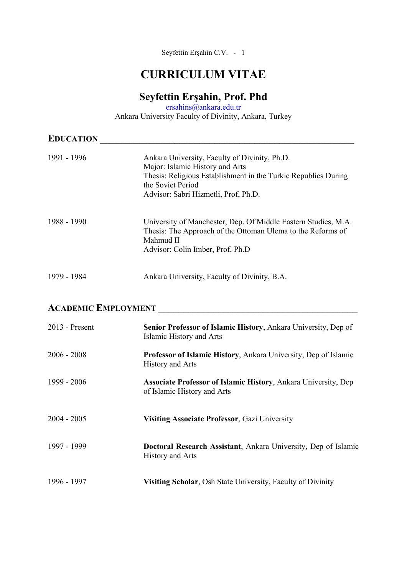Seyfettin Erşahin C.V. - 1

# **CURRICULUM VITAE**

## **Seyfettin Erşahin, Prof. Phd**

ersahins@ankara.edu.tr Ankara University Faculty of Divinity, Ankara, Turkey

| <b>EDUCATION</b> |                                                                                                                                                                                                                 |
|------------------|-----------------------------------------------------------------------------------------------------------------------------------------------------------------------------------------------------------------|
| 1991 - 1996      | Ankara University, Faculty of Divinity, Ph.D.<br>Major: Islamic History and Arts<br>Thesis: Religious Establishment in the Turkic Republics During<br>the Soviet Period<br>Advisor: Sabri Hizmetli, Prof, Ph.D. |
| 1988 - 1990      | University of Manchester, Dep. Of Middle Eastern Studies, M.A.<br>Thesis: The Approach of the Ottoman Ulema to the Reforms of<br>Mahmud II<br>Advisor: Colin Imber, Prof, Ph.D                                  |
| 1979 - 1984      | Ankara University, Faculty of Divinity, B.A.                                                                                                                                                                    |

## **ACADEMIC EMPLOYMENT**

| $2013$ - Present | Senior Professor of Islamic History, Ankara University, Dep of<br>Islamic History and Arts           |
|------------------|------------------------------------------------------------------------------------------------------|
| $2006 - 2008$    | Professor of Islamic History, Ankara University, Dep of Islamic<br>History and Arts                  |
| 1999 - 2006      | <b>Associate Professor of Islamic History, Ankara University, Dep</b><br>of Islamic History and Arts |
| $2004 - 2005$    | <b>Visiting Associate Professor, Gazi University</b>                                                 |
| 1997 - 1999      | Doctoral Research Assistant, Ankara University, Dep of Islamic<br>History and Arts                   |
| 1996 - 1997      | Visiting Scholar, Osh State University, Faculty of Divinity                                          |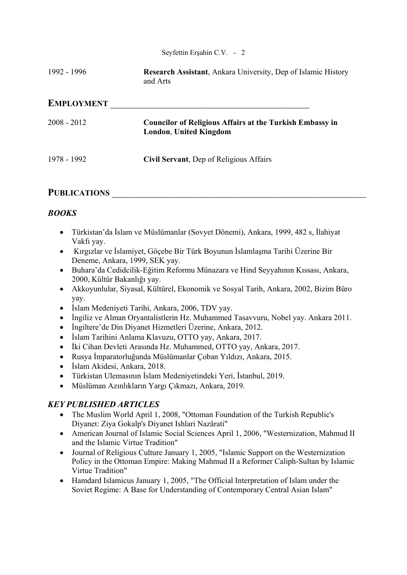Seyfettin Erşahin C.V. - 2

1992 - 1996 **Research Assistant**, Ankara University, Dep of Islamic History and Arts

#### **EMPLOYMENT**

| 2008 - 2012 | <b>Councilor of Religious Affairs at the Turkish Embassy in</b><br><b>London, United Kingdom</b> |
|-------------|--------------------------------------------------------------------------------------------------|
| 1978 - 1992 | Civil Servant, Dep of Religious Affairs                                                          |

#### PUBLICATIONS

#### *BOOKS*

- Türkistan'da İslam ve Müslümanlar (Sovyet Dönemi), Ankara, 1999, 482 s, İlahiyat Vakfı yay.
- Kırgızlar ve İslamiyet, Göçebe Bir Türk Boyunun İslamlaşma Tarihi Üzerine Bir Deneme, Ankara, 1999, SEK yay.
- Buhara'da Cedidcilik-Eğitim Reformu Münazara ve Hind Seyyahının Kıssası, Ankara, 2000, Kültür Bakanlığı yay.
- Akkoyunlular, Siyasal, Kültürel, Ekonomik ve Sosyal Tarih, Ankara, 2002, Bizim Büro yay.
- İslam Medeniyeti Tarihi, Ankara, 2006, TDV yay.
- İngiliz ve Alman Oryantalistlerin Hz. Muhammed Tasavvuru, Nobel yay. Ankara 2011.
- İngiltere'de Din Diyanet Hizmetleri Üzerine, Ankara, 2012.
- İslam Tarihini Anlama Klavuzu, OTTO yay, Ankara, 2017.
- İki Cihan Devleti Arasında Hz. Muhammed, OTTO yay, Ankara, 2017.
- Rusya İmparatorluğunda Müslümanlar Çoban Yıldızı, Ankara, 2015.
- İslam Akidesi, Ankara, 2018.
- Türkistan Ulemasının İslam Medeniyetindeki Yeri, İstanbul, 2019.
- Müslüman Azınlıkların Yargı Çıkmazı, Ankara, 2019.

#### *KEY PUBLISHED ARTICLES*

- The Muslim World April 1, 2008, "Ottoman Foundation of the Turkish Republic's Diyanet: Ziya Gokalp's Diyanet Ishlari Nazârati"
- American Journal of Islamic Social Sciences April 1, 2006, "Westernization, Mahmud II and the Islamic Virtue Tradition"
- Journal of Religious Culture January 1, 2005, "Islamic Support on the Westernization Policy in the Ottoman Empire: Making Mahmud II a Reformer Caliph-Sultan by Islamic Virtue Tradition"
- Hamdard Islamicus January 1, 2005, "The Official Interpretation of Islam under the Soviet Regime: A Base for Understanding of Contemporary Central Asian Islam"